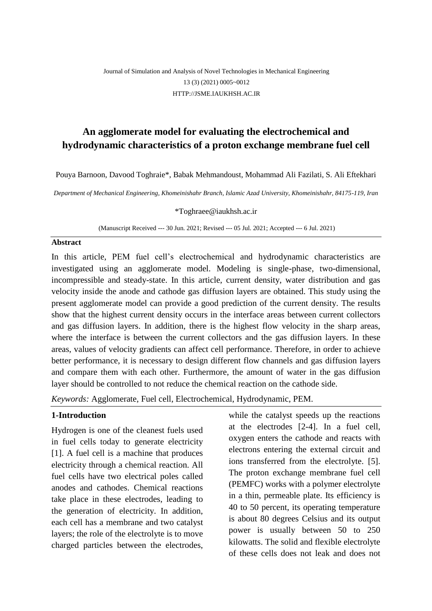## Journal of Simulation and Analysis of Novel Technologies in Mechanical Engineering 13 (3) (2021) 0005~0012 [HTTP://JSME.IAUKHSH.AC.IR](http://jsme.iaukhsh.ac.ir/)

# **An agglomerate model for evaluating the electrochemical and hydrodynamic characteristics of a proton exchange membrane fuel cell**

Pouya Barnoon, Davood Toghraie\*, Babak Mehmandoust, Mohammad Ali Fazilati, S. Ali Eftekhari

*Department of Mechanical Engineering, Khomeinishahr Branch, Islamic Azad University, Khomeinishahr, 84175-119, Iran*

\*Toghraee@iaukhsh.ac.ir

(Manuscript Received --- 30 Jun. 2021; Revised --- 05 Jul. 2021; Accepted --- 6 Jul. 2021)

#### **Abstract**

In this article, PEM fuel cell's electrochemical and hydrodynamic characteristics are investigated using an agglomerate model. Modeling is single-phase, two-dimensional, incompressible and steady-state. In this article, current density, water distribution and gas velocity inside the anode and cathode gas diffusion layers are obtained. This study using the present agglomerate model can provide a good prediction of the current density. The results show that the highest current density occurs in the interface areas between current collectors and gas diffusion layers. In addition, there is the highest flow velocity in the sharp areas, where the interface is between the current collectors and the gas diffusion layers. In these areas, values of velocity gradients can affect cell performance. Therefore, in order to achieve better performance, it is necessary to design different flow channels and gas diffusion layers and compare them with each other. Furthermore, the amount of water in the gas diffusion layer should be controlled to not reduce the chemical reaction on the cathode side.

*Keywords:* Agglomerate, Fuel cell, Electrochemical, Hydrodynamic, PEM.

#### **1-Introduction**

Hydrogen is one of the cleanest fuels used in fuel cells today to generate electricity [1]. A fuel cell is a machine that produces electricity through a chemical reaction. All fuel cells have two electrical poles called anodes and cathodes. Chemical reactions take place in these electrodes, leading to the generation of electricity. In addition, each cell has a membrane and two catalyst layers; the role of the electrolyte is to move charged particles between the electrodes, while the catalyst speeds up the reactions at the electrodes [2-4]. In a fuel cell, oxygen enters the cathode and reacts with electrons entering the external circuit and ions transferred from the electrolyte. [5]. The proton exchange membrane fuel cell (PEMFC) works with a polymer electrolyte in a thin, permeable plate. Its efficiency is 40 to 50 percent, its operating temperature is about 80 degrees Celsius and its output power is usually between 50 to 250 kilowatts. The solid and flexible electrolyte of these cells does not leak and does not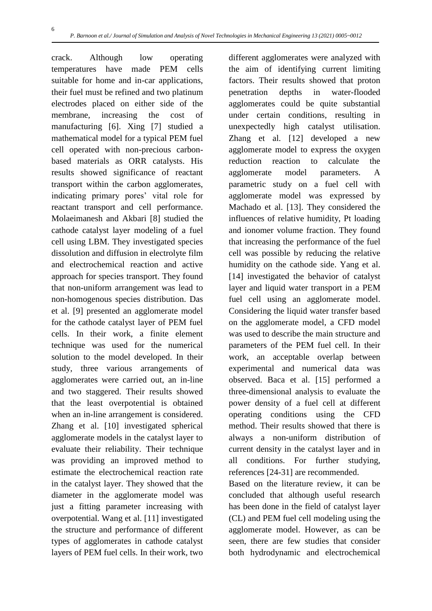6

crack. Although low operating temperatures have made PEM cells suitable for home and in-car applications, their fuel must be refined and two platinum electrodes placed on either side of the membrane, increasing the cost of manufacturing [6]. Xing [7] studied a mathematical model for a typical PEM fuel cell operated with non-precious carbonbased materials as ORR catalysts. His results showed significance of reactant transport within the carbon agglomerates, indicating primary pores' vital role for reactant transport and cell performance. Molaeimanesh and Akbari [8] studied the cathode catalyst layer modeling of a fuel cell using LBM. They investigated species dissolution and diffusion in electrolyte film and electrochemical reaction and active approach for species transport. They found that non-uniform arrangement was lead to non-homogenous species distribution. Das et al. [9] presented an agglomerate model for the cathode catalyst layer of PEM fuel cells. In their work, a finite element technique was used for the numerical solution to the model developed. In their study, three various arrangements of agglomerates were carried out, an in-line and two staggered. Their results showed that the least overpotential is obtained when an in-line arrangement is considered. Zhang et al. [10] investigated spherical agglomerate models in the catalyst layer to evaluate their reliability. Their technique was providing an improved method to estimate the electrochemical reaction rate in the catalyst layer. They showed that the diameter in the agglomerate model was just a fitting parameter increasing with overpotential. Wang et al. [11] investigated the structure and performance of different types of agglomerates in cathode catalyst layers of PEM fuel cells. In their work, two

different agglomerates were analyzed with the aim of identifying current limiting factors. Their results showed that proton penetration depths in water-flooded agglomerates could be quite substantial under certain conditions, resulting in unexpectedly high catalyst utilisation. Zhang et al. [12] developed a new agglomerate model to express the oxygen reduction reaction to calculate the agglomerate model parameters. A parametric study on a fuel cell with agglomerate model was expressed by Machado et al. [13]. They considered the influences of relative humidity, Pt loading and ionomer volume fraction. They found that increasing the performance of the fuel cell was possible by reducing the relative humidity on the cathode side. Yang et al. [14] investigated the behavior of catalyst layer and liquid water transport in a PEM fuel cell using an agglomerate model. Considering the liquid water transfer based on the agglomerate model, a CFD model was used to describe the main structure and parameters of the PEM fuel cell. In their work, an acceptable overlap between experimental and numerical data was observed. Baca et al. [15] performed a three-dimensional analysis to evaluate the power density of a fuel cell at different operating conditions using the CFD method. Their results showed that there is always a non-uniform distribution of current density in the catalyst layer and in all conditions. For further studying, references [24-31] are recommended.

Based on the literature review, it can be concluded that although useful research has been done in the field of catalyst layer (CL) and PEM fuel cell modeling using the agglomerate model. However, as can be seen, there are few studies that consider both hydrodynamic and electrochemical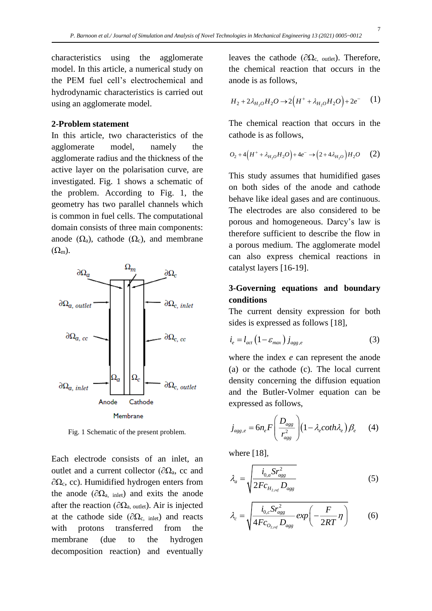characteristics using the agglomerate model. In this article, a numerical study on the PEM fuel cell's electrochemical and hydrodynamic characteristics is carried out using an agglomerate model.

#### **2-Problem statement**

In this article, two characteristics of the agglomerate model, namely the agglomerate radius and the thickness of the active layer on the polarisation curve, are investigated. Fig. 1 shows a schematic of the problem. According to Fig. 1, the geometry has two parallel channels which is common in fuel cells. The computational domain consists of three main components: anode  $(\Omega_a)$ , cathode  $(\Omega_c)$ , and membrane  $(\Omega_{\rm m})$ .



Fig. 1 Schematic of the present problem.

Each electrode consists of an inlet, an outlet and a current collector ( $\partial\Omega_a$ , cc and  $\partial\Omega_c$ , cc). Humidified hydrogen enters from the anode ( $\partial\Omega_{\text{a, inlet}}$ ) and exits the anode after the reaction ( $\partial\Omega_{a, \text{ outlet}}$ ). Air is injected at the cathode side ( $\partial\Omega_c$ , inlet) and reacts with protons transferred from the membrane (due to the hydrogen decomposition reaction) and eventually

leaves the cathode ( $\partial\Omega_c$ , outlet). Therefore, the chemical reaction that occurs in the anode is as follows,

$$
H_2 + 2\lambda_{H_2O} H_2 O \to 2\left(H^+ + \lambda_{H_2O} H_2 O\right) + 2e^- (1)
$$

The chemical reaction that occurs in the cathode is as follows,

$$
O_2 + 4\left(H^+ + \lambda_{H_2O}H_2O\right) + 4e^- \to \left(2 + 4\lambda_{H_2O}\right)H_2O \tag{2}
$$

This study assumes that humidified gases on both sides of the anode and cathode behave like ideal gases and are continuous. The electrodes are also considered to be porous and homogeneous. Darcy's law is therefore sufficient to describe the flow in a porous medium. The agglomerate model can also express chemical reactions in catalyst layers [16-19].

# **3-Governing equations and boundary conditions**

The current density expression for both sides is expressed as follows [18],

$$
i_e = l_{act} \left( 1 - \varepsilon_{max} \right) j_{agg,e} \tag{3}
$$

where the index *e* can represent the anode (a) or the cathode (c). The local current density concerning the diffusion equation and the Butler-Volmer equation can be expressed as follows,

$$
j_{\text{agg},e} = 6n_e F \left( \frac{D_{\text{agg}}}{r_{\text{agg}}^2} \right) \left( 1 - \lambda_e \coth \lambda_e \right) \beta_e \qquad (4)
$$

where [18],

$$
\lambda_a = \sqrt{\frac{i_{0,a} S r_{agg}^2}{2 F c_{H_{2,ref}}} D_{agg}}
$$
\n(5)

$$
\lambda_c = \sqrt{\frac{i_{0,c} S r_{ags}^2}{4 F c_{O_{2,ref}}} D_{ags}} exp\left(-\frac{F}{2RT} \eta\right)
$$
(6)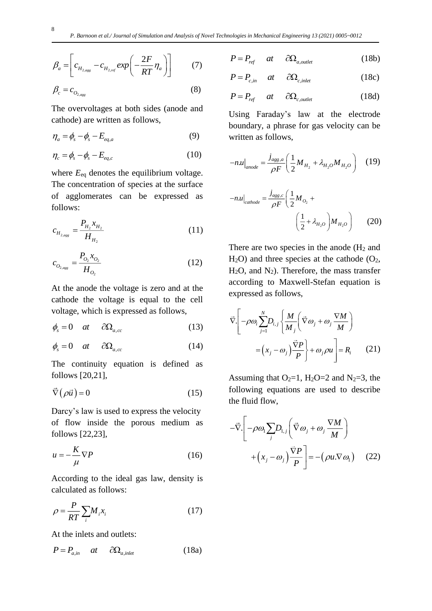$$
\beta_a = \left[ c_{H_{2,agg}} - c_{H_{2,ref}} \exp\left(-\frac{2F}{RT}\eta_a\right) \right] \tag{7}
$$

$$
\beta_c = c_{O_{2,agg}} \tag{8}
$$

The overvoltages at both sides (anode and cathode) are written as follows,

$$
\eta_a = \phi_s - \phi_s - E_{eq,a} \tag{9}
$$

$$
\eta_c = \phi_s - \phi_s - E_{eq,c} \tag{10}
$$

where  $E_{eq}$  denotes the equilibrium voltage. The concentration of species at the surface of agglomerates can be expressed as follows:

$$
c_{H_{2,agg}} = \frac{P_{H_2} x_{H_2}}{H_{H_2}}
$$
 (11)

$$
c_{O_{2,agg}} = \frac{P_{O_2} x_{O_2}}{H_{O_2}}
$$
 (12)

At the anode the voltage is zero and at the cathode the voltage is equal to the cell voltage, which is expressed as follows,

$$
\phi_s = 0 \quad at \quad \partial \Omega_{a,cc} \tag{13}
$$

$$
\phi_s = 0 \quad at \quad \partial \Omega_{a,cc} \tag{14}
$$

The continuity equation is defined as follows [20,21],

$$
\vec{\nabla}\left(\rho\vec{u}\right) = 0\tag{15}
$$

Darcy's law is used to express the velocity of flow inside the porous medium as follows [22,23],

$$
u = -\frac{K}{\mu}\nabla P\tag{16}
$$

According to the ideal gas law, density is calculated as follows:

$$
\rho = \frac{P}{RT} \sum_{i} M_i x_i \tag{17}
$$

At the inlets and outlets:

$$
P = P_{a,in} \quad at \quad \partial \Omega_{a,inlet} \tag{18a}
$$

$$
P = P_{ref} \quad at \quad \partial \Omega_{a,oulet} \tag{18b}
$$

$$
P = P_{c,in} \quad at \quad \partial \Omega_{c,inlet} \tag{18c}
$$

$$
P = P_{ref} \quad at \quad \partial \Omega_{c,outlet} \tag{18d}
$$

Using Faraday's law at the electrode boundary, a phrase for gas velocity can be written as follows,

$$
-n.u|_{anode} = \frac{j_{agg,a}}{\rho F} \left(\frac{1}{2} M_{H_2} + \lambda_{H_2O} M_{H_2O}\right)
$$
 (19)

$$
-n.u|_{\text{cathode}} = \frac{j_{\text{agg,c}}}{\rho F} \left(\frac{1}{2} M_{O_2} + \left(\frac{1}{2} M_{H_2O}\right) M_{H_2O}\right) \tag{20}
$$

There are two species in the anode  $(H_2 \text{ and }$  $H<sub>2</sub>O$ ) and three species at the cathode ( $O<sub>2</sub>$ ,  $H<sub>2</sub>O$ , and  $N<sub>2</sub>$ ). Therefore, the mass transfer according to Maxwell-Stefan equation is expressed as follows,

$$
\vec{\nabla} \cdot \left[ -\rho \omega_i \sum_{j=1}^N D_{i,j} \left\{ \frac{M}{M_j} \left( \vec{\nabla} \omega_j + \omega_j \frac{\nabla M}{M} \right) \right. \right. \\
= \left( x_j - \omega_j \right) \frac{\vec{\nabla} P}{P} \Bigg\} + \omega_j \rho u \Bigg] = R_i \tag{21}
$$

Assuming that  $O_2=1$ ,  $H_2O=2$  and  $N_2=3$ , the following equations are used to describe the fluid flow,

$$
-\vec{\nabla}\left[-\rho\omega_{1}\sum_{j}D_{1,j}\left(\vec{\nabla}\omega_{j}+\omega_{j}\frac{\nabla M}{M}\right) + \left(x_{j}-\omega_{j}\right)\frac{\vec{\nabla}P}{P}\right] = -\left(\rho u.\nabla\omega_{1}\right) \quad (22)
$$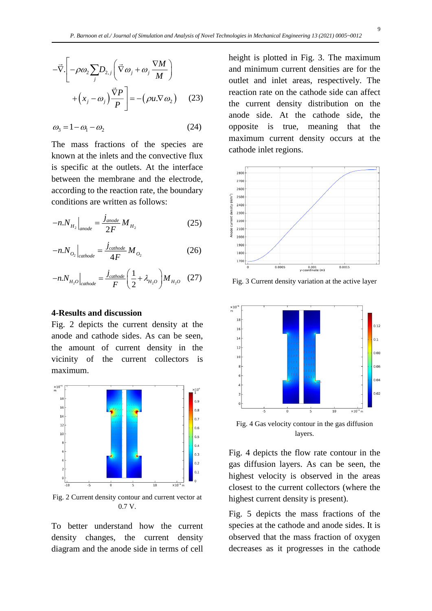$$
-\vec{\nabla} \cdot \left[ -\rho \omega_2 \sum_j D_{2,j} \left( \vec{\nabla} \omega_j + \omega_j \frac{\nabla M}{M} \right) + \left( x_j - \omega_j \right) \frac{\vec{\nabla} P}{P} \right] = -(\rho u \cdot \nabla \omega_2) \quad (23)
$$

$$
\omega_3 = 1 - \omega_1 - \omega_2 \tag{24}
$$

The mass fractions of the species are known at the inlets and the convective flux is specific at the outlets. At the interface between the membrane and the electrode, according to the reaction rate, the boundary conditions are written as follows:

$$
-n.N_{H_2}\Big|_{anode} = \frac{j_{anode}}{2F} M_{H_2} \tag{25}
$$

$$
-n.N_{O_2}\Big|_{cathode} = \frac{j_{cathode}}{4F} M_{O_2} \tag{26}
$$

$$
-n.N_{H_2O}\Big|_{cathode} = \frac{j_{cathode}}{F} \left(\frac{1}{2} + \lambda_{H_2O}\right) M_{H_2O} \quad (27)
$$

## **4-Results and discussion**

Fig. 2 depicts the current density at the anode and cathode sides. As can be seen, the amount of current density in the vicinity of the current collectors is maximum.



Fig. 2 Current density contour and current vector at 0.7 V.

To better understand how the current density changes, the current density diagram and the anode side in terms of cell height is plotted in Fig. 3. The maximum and minimum current densities are for the outlet and inlet areas, respectively. The reaction rate on the cathode side can affect the current density distribution on the anode side. At the cathode side, the opposite is true, meaning that the maximum current density occurs at the cathode inlet regions.



Fig. 3 Current density variation at the active layer



layers.

Fig. 4 depicts the flow rate contour in the gas diffusion layers. As can be seen, the highest velocity is observed in the areas closest to the current collectors (where the highest current density is present).

Fig. 5 depicts the mass fractions of the species at the cathode and anode sides. It is observed that the mass fraction of oxygen decreases as it progresses in the cathode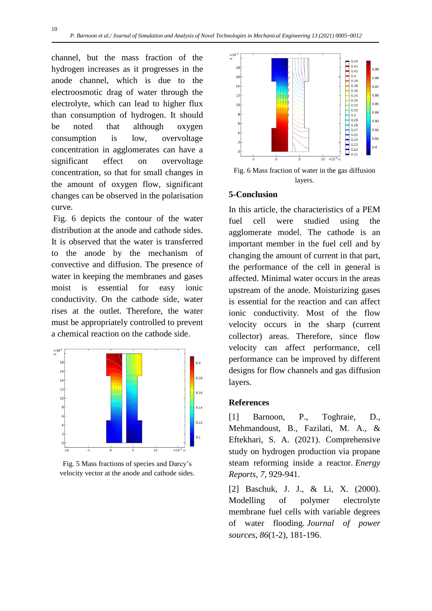channel, but the mass fraction of the hydrogen increases as it progresses in the anode channel, which is due to the electroosmotic drag of water through the electrolyte, which can lead to higher flux than consumption of hydrogen. It should be noted that although oxygen consumption is low, overvoltage concentration in agglomerates can have a significant effect on overvoltage concentration, so that for small changes in the amount of oxygen flow, significant changes can be observed in the polarisation curve.

Fig. 6 depicts the contour of the water distribution at the anode and cathode sides. It is observed that the water is transferred to the anode by the mechanism of convective and diffusion. The presence of water in keeping the membranes and gases moist is essential for easy ionic conductivity. On the cathode side, water rises at the outlet. Therefore, the water must be appropriately controlled to prevent a chemical reaction on the cathode side.



Fig. 5 Mass fractions of species and Darcy's velocity vector at the anode and cathode sides.



Fig. 6 Mass fraction of water in the gas diffusion layers.

#### **5-Conclusion**

In this article, the characteristics of a PEM fuel cell were studied using the agglomerate model. The cathode is an important member in the fuel cell and by changing the amount of current in that part, the performance of the cell in general is affected. Minimal water occurs in the areas upstream of the anode. Moisturizing gases is essential for the reaction and can affect ionic conductivity. Most of the flow velocity occurs in the sharp (current collector) areas. Therefore, since flow velocity can affect performance, cell performance can be improved by different designs for flow channels and gas diffusion layers.

## **References**

[1] Barnoon, P., Toghraie, D., Mehmandoust, B., Fazilati, M. A., & Eftekhari, S. A. (2021). Comprehensive study on hydrogen production via propane steam reforming inside a reactor. *Energy Reports*, *7*, 929-941.

[2] Baschuk, J. J., & Li, X. (2000). Modelling of polymer electrolyte membrane fuel cells with variable degrees of water flooding. *Journal of power sources*, *86*(1-2), 181-196.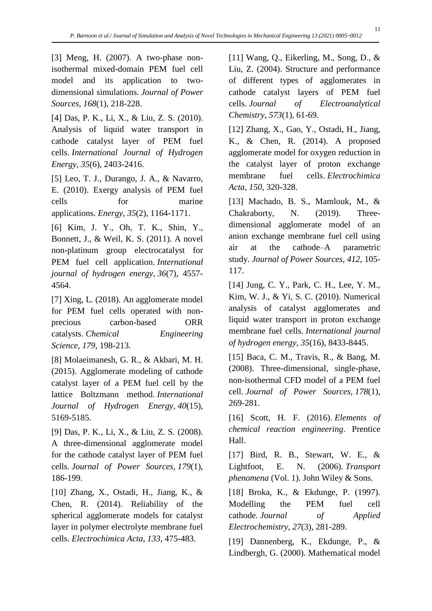[3] Meng, H. (2007). A two-phase nonisothermal mixed-domain PEM fuel cell model and its application to twodimensional simulations. *Journal of Power Sources*, *168*(1), 218-228.

[4] Das, P. K., Li, X., & Liu, Z. S. (2010). Analysis of liquid water transport in cathode catalyst layer of PEM fuel cells. *International Journal of Hydrogen Energy*, *35*(6), 2403-2416.

[5] Leo, T. J., Durango, J. A., & Navarro, E. (2010). Exergy analysis of PEM fuel cells for marine applications. *Energy*, *35*(2), 1164-1171.

[6] Kim, J. Y., Oh, T. K., Shin, Y., Bonnett, J., & Weil, K. S. (2011). A novel non-platinum group electrocatalyst for PEM fuel cell application. *International journal of hydrogen energy*, *36*(7), 4557- 4564.

[7] Xing, L. (2018). An agglomerate model for PEM fuel cells operated with nonprecious carbon-based ORR catalysts. *Chemical Engineering Science*, *179*, 198-213.

[8] Molaeimanesh, G. R., & Akbari, M. H. (2015). Agglomerate modeling of cathode catalyst layer of a PEM fuel cell by the lattice Boltzmann method. *International Journal of Hydrogen Energy*, *40*(15), 5169-5185.

[9] Das, P. K., Li, X., & Liu, Z. S. (2008). A three-dimensional agglomerate model for the cathode catalyst layer of PEM fuel cells. *Journal of Power Sources*, *179*(1), 186-199.

[10] Zhang, X., Ostadi, H., Jiang, K., & Chen, R. (2014). Reliability of the spherical agglomerate models for catalyst layer in polymer electrolyte membrane fuel cells. *Electrochimica Acta*, *133*, 475-483.

[11] Wang, Q., Eikerling, M., Song, D., & Liu, Z. (2004). Structure and performance of different types of agglomerates in cathode catalyst layers of PEM fuel cells. *Journal of Electroanalytical Chemistry*, *573*(1), 61-69.

[12] Zhang, X., Gao, Y., Ostadi, H., Jiang, K., & Chen, R. (2014). A proposed agglomerate model for oxygen reduction in the catalyst layer of proton exchange membrane fuel cells. *Electrochimica Acta*, *150*, 320-328.

[13] Machado, B. S., Mamlouk, M., & Chakraborty, N. (2019). Threedimensional agglomerate model of an anion exchange membrane fuel cell using air at the cathode–A parametric study. *Journal of Power Sources*, *412*, 105- 117.

[14] Jung, C. Y., Park, C. H., Lee, Y. M., Kim, W. J., & Yi, S. C. (2010). Numerical analysis of catalyst agglomerates and liquid water transport in proton exchange membrane fuel cells. *International journal of hydrogen energy*, *35*(16), 8433-8445.

[15] Baca, C. M., Travis, R., & Bang, M. (2008). Three-dimensional, single-phase, non-isothermal CFD model of a PEM fuel cell. *Journal of Power Sources*, *178*(1), 269-281.

[16] Scott, H. F. (2016). *Elements of chemical reaction engineering*. Prentice Hall.

[17] Bird, R. B., Stewart, W. E., & Lightfoot, E. N. (2006). *Transport phenomena* (Vol. 1). John Wiley & Sons.

[18] Broka, K., & Ekdunge, P. (1997). Modelling the PEM fuel cell cathode. *Journal of Applied Electrochemistry*, *27*(3), 281-289.

[19] Dannenberg, K., Ekdunge, P., & Lindbergh, G. (2000). Mathematical model